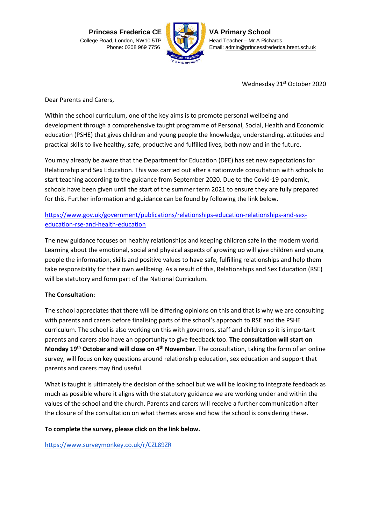**Princess Frederica CE** College Road, London, NW10 5TP Phone: 0208 969 7756



**VA Primary School** Head Teacher – Mr A Richards Email[: admin@princessfrederica.brent.sch.uk](about:blank)

Wednesday 21<sup>st</sup> October 2020

Dear Parents and Carers,

Within the school curriculum, one of the key aims is to promote personal wellbeing and development through a comprehensive taught programme of Personal, Social, Health and Economic education (PSHE) that gives children and young people the knowledge, understanding, attitudes and practical skills to live healthy, safe, productive and fulfilled lives, both now and in the future.

You may already be aware that the Department for Education (DFE) has set new expectations for Relationship and Sex Education. This was carried out after a nationwide consultation with schools to start teaching according to the guidance from September 2020. Due to the Covid-19 pandemic, schools have been given until the start of the summer term 2021 to ensure they are fully prepared for this. Further information and guidance can be found by following the link below.

## [https://www.gov.uk/government/publications/relationships-education-relationships-and-sex](about:blank)[education-rse-and-health-education](about:blank)

The new guidance focuses on healthy relationships and keeping children safe in the modern world. Learning about the emotional, social and physical aspects of growing up will give children and young people the information, skills and positive values to have safe, fulfilling relationships and help them take responsibility for their own wellbeing. As a result of this, Relationships and Sex Education (RSE) will be statutory and form part of the National Curriculum.

## **The Consultation:**

The school appreciates that there will be differing opinions on this and that is why we are consulting with parents and carers before finalising parts of the school's approach to RSE and the PSHE curriculum. The school is also working on this with governors, staff and children so it is important parents and carers also have an opportunity to give feedback too. **The consultation will start on Monday 19th October and will close on 4th November**. The consultation, taking the form of an online survey, will focus on key questions around relationship education, sex education and support that parents and carers may find useful.

What is taught is ultimately the decision of the school but we will be looking to integrate feedback as much as possible where it aligns with the statutory guidance we are working under and within the values of the school and the church. Parents and carers will receive a further communication after the closure of the consultation on what themes arose and how the school is considering these.

## **To complete the survey, please click on the link below.**

<https://www.surveymonkey.co.uk/r/CZL89ZR>